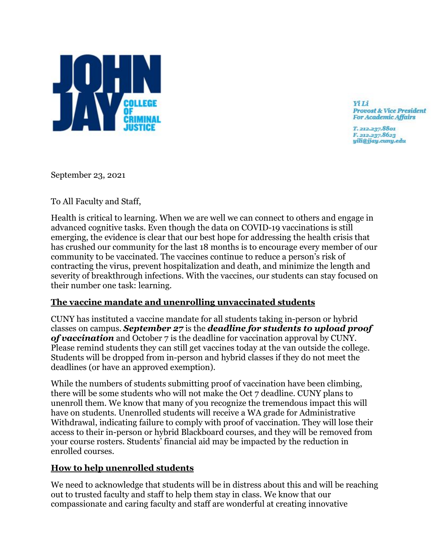

**Yi** Li **Provost & Vice President For Academic Affairs** 

T. 212.237.8801 F. 212.237.8623 yili@jjay.cuny.edu

September 23, 2021

To All Faculty and Staff,

Health is critical to learning. When we are well we can connect to others and engage in advanced cognitive tasks. Even though the data on COVID-19 vaccinations is still emerging, the evidence is clear that our best hope for addressing the health crisis that has crushed our community for the last 18 months is to encourage every member of our community to be vaccinated. The vaccines continue to reduce a person's risk of contracting the virus, prevent hospitalization and death, and minimize the length and severity of breakthrough infections. With the vaccines, our students can stay focused on their number one task: learning.

## **The vaccine mandate and unenrolling unvaccinated students**

CUNY has instituted a vaccine mandate for all students taking in-person or hybrid classes on campus. *September 27* is the *deadline for students to upload proof of vaccination* and October 7 is the deadline for vaccination approval by CUNY. Please remind students they can still get vaccines today at the van outside the college. Students will be dropped from in-person and hybrid classes if they do not meet the deadlines (or have an approved exemption).

While the numbers of students submitting proof of vaccination have been climbing, there will be some students who will not make the Oct 7 deadline. CUNY plans to unenroll them. We know that many of you recognize the tremendous impact this will have on students. Unenrolled students will receive a WA grade for Administrative Withdrawal, indicating failure to comply with proof of vaccination. They will lose their access to their in-person or hybrid Blackboard courses, and they will be removed from your course rosters. Students' financial aid may be impacted by the reduction in enrolled courses.

## **How to help unenrolled students**

We need to acknowledge that students will be in distress about this and will be reaching out to trusted faculty and staff to help them stay in class. We know that our compassionate and caring faculty and staff are wonderful at creating innovative